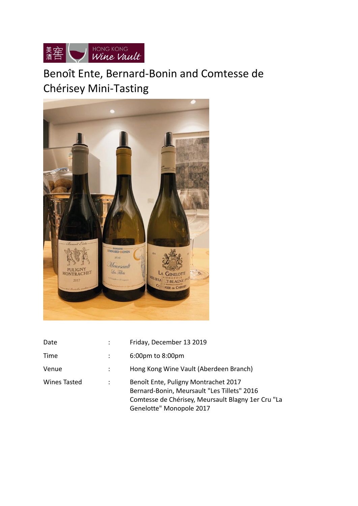

# Benoît Ente, Bernard-Bonin and Comtesse de Chérisey Mini-Tasting



| Date                | $\ddot{\cdot}$ | Friday, December 13 2019                                                                                                                                              |
|---------------------|----------------|-----------------------------------------------------------------------------------------------------------------------------------------------------------------------|
| Time                |                | 6:00pm to 8:00pm                                                                                                                                                      |
| Venue               | ÷              | Hong Kong Wine Vault (Aberdeen Branch)                                                                                                                                |
| <b>Wines Tasted</b> | :              | Benoît Ente, Puligny Montrachet 2017<br>Bernard-Bonin, Meursault "Les Tillets" 2016<br>Comtesse de Chérisey, Meursault Blagny 1er Cru "La<br>Genelotte" Monopole 2017 |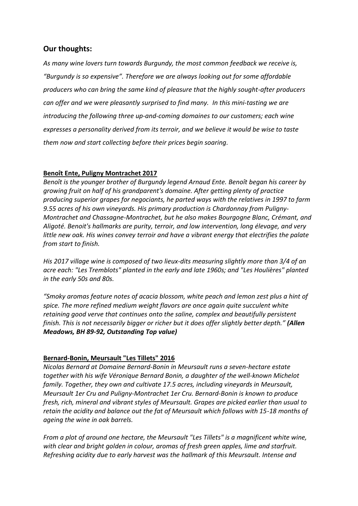## **Our thoughts:**

*As many wine lovers turn towards Burgundy, the most common feedback we receive is, "Burgundy is so expensive". Therefore we are always looking out for some affordable producers who can bring the same kind of pleasure that the highly sought-after producers can offer and we were pleasantly surprised to find many. In this mini-tasting we are introducing the following three up-and-coming domaines to our customers; each wine expresses a personality derived from its terroir, and we believe it would be wise to taste them now and start collecting before their prices begin soaring.*

### **Benoît Ente, Puligny Montrachet 2017**

*Benoît is the younger brother of Burgundy legend Arnaud Ente. Benoît began his career by growing fruit on half of his grandparent's domaine. After getting plenty of practice producing superior grapes for negociants, he parted ways with the relatives in 1997 to farm 9.55 acres of his own vineyards. His primary production is Chardonnay from Puligny-Montrachet and Chassagne-Montrachet, but he also makes Bourgogne Blanc, Crémant, and Aligoté. Benoit's hallmarks are purity, terroir, and low intervention, long élevage, and very little new oak. His wines convey terroir and have a vibrant energy that electrifies the palate from start to finish.*

*His 2017 village wine is composed of two lieux-dits measuring slightly more than 3/4 of an acre each: "Les Tremblots" planted in the early and late 1960s; and "Les Houlières" planted in the early 50s and 80s.* 

*"Smoky aromas feature notes of acacia blossom, white peach and lemon zest plus a hint of spice. The more refined medium weight flavors are once again quite succulent white retaining good verve that continues onto the saline, complex and beautifully persistent finish. This is not necessarily bigger or richer but it does offer slightly better depth." (Allen Meadows, BH 89-92, Outstanding Top value)*

### **Bernard-Bonin, Meursault "Les Tillets" 2016**

*Nicolas Bernard at Domaine Bernard-Bonin in Meursault runs a seven-hectare estate together with his wife Véronique Bernard Bonin, a daughter of the well-known Michelot family. Together, they own and cultivate 17.5 acres, including vineyards in Meursault, Meursault 1er Cru and Puligny-Montrachet 1er Cru. Bernard-Bonin is known to produce fresh, rich, mineral and vibrant styles of Meursault. Grapes are picked earlier than usual to retain the acidity and balance out the fat of Meursault which follows with 15-18 months of ageing the wine in oak barrels.*

*From a plot of around one hectare, the Meursault "Les Tillets" is a magnificent white wine, with clear and bright golden in colour, aromas of fresh green apples, lime and starfruit. Refreshing acidity due to early harvest was the hallmark of this Meursault. Intense and*